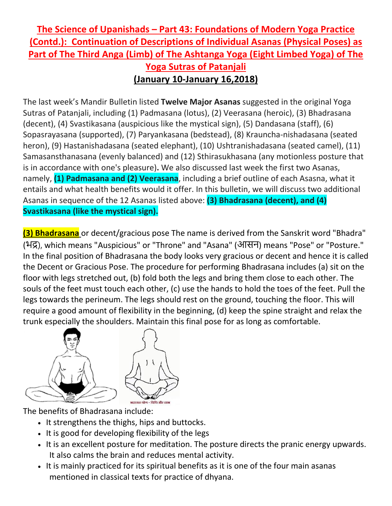## **The Science of Upanishads – Part 43: Foundations of Modern Yoga Practice (Contd.): Continuation of Descriptions of Individual Asanas (Physical Poses) as Part of The Third Anga (Limb) of The Ashtanga Yoga (Eight Limbed Yoga) of The Yoga Sutras of Patanjali (January 10-January 16,2018)**

The last week's Mandir Bulletin listed **Twelve Major Asanas** suggested in the original Yoga Sutras of Patanjali, including (1) Padmasana (lotus), (2) Veerasana (heroic), (3) Bhadrasana (decent), (4) Svastikasana (auspicious like the mystical sign), (5) Dandasana (staff), (6) Sopasrayasana (supported), (7) Paryankasana (bedstead), (8) Krauncha-nishadasana (seated heron), (9) Hastanishadasana (seated elephant), (10) Ushtranishadasana (seated camel), (11) Samasansthanasana (evenly balanced) and (12) Sthirasukhasana (any motionless posture that is in accordance with one's pleasure)**.** We also discussed last week the first two Asanas, namely, **(1) Padmasana and (2) Veerasana**, including a brief outline of each Asasna, what it entails and what health benefits would it offer. In this bulletin, we will discuss two additional Asanas in sequence of the 12 Asanas listed above: **(3) Bhadrasana (decent), and (4) Svastikasana (like the mystical sign).**

**(3) Bhadrasana** or decent/gracious pose The name is derived from the Sanskrit word "Bhadra" (भद्र), which means "Auspicious" or "Throne" and "Asana" (आसन) means "Pose" or "Posture." In the final position of Bhadrasana the body looks very gracious or decent and hence it is called the Decent or Gracious Pose. The procedure for performing Bhadrasana includes (a) sit on the floor with legs stretched out, (b) fold both the legs and bring them close to each other. The souls of the feet must touch each other, (c) use the hands to hold the toes of the feet. Pull the legs towards the perineum. The legs should rest on the ground, touching the floor. This will require a good amount of flexibility in the beginning, (d) keep the spine straight and relax the trunk especially the shoulders. Maintain this final pose for as long as comfortable.



The benefits of Bhadrasana include:

- It strengthens the thighs, hips and buttocks.
- It is good for developing flexibility of the legs
- It is an excellent posture for meditation. The posture directs the pranic energy upwards. It also calms the brain and reduces mental activity.
- It is mainly practiced for its spiritual benefits as it is one of the four main asanas mentioned in classical texts for practice of dhyana.